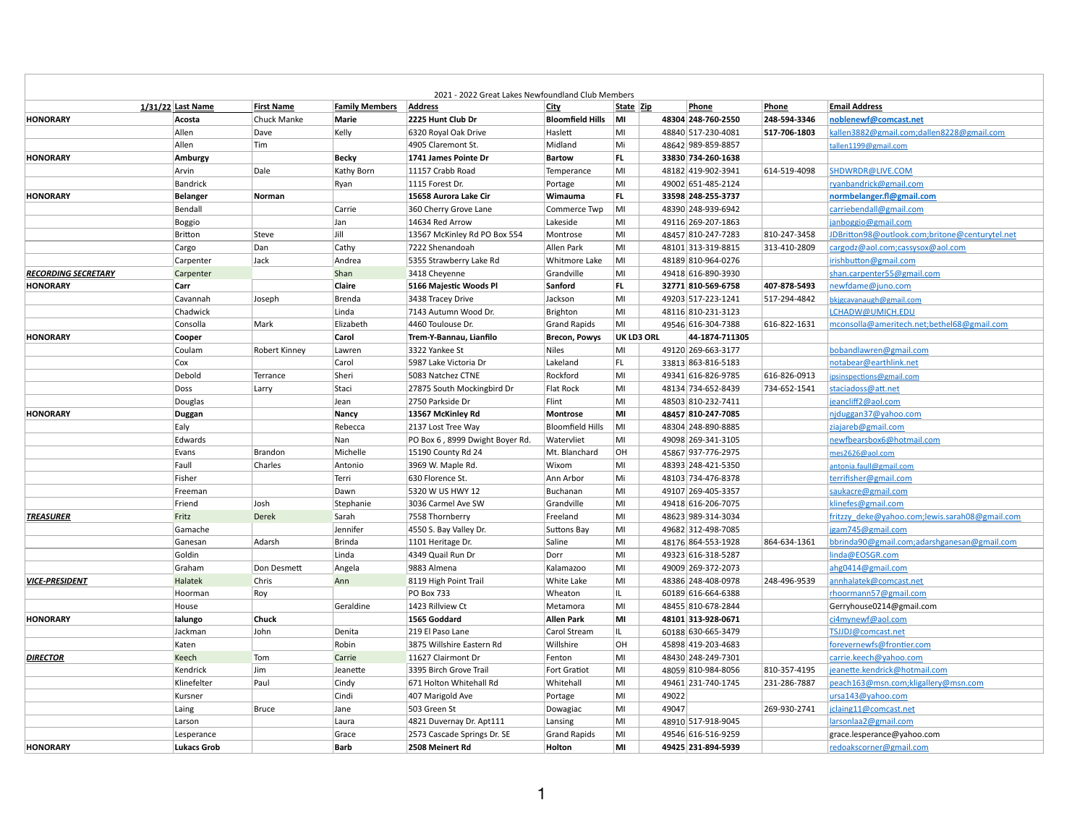| 2021 - 2022 Great Lakes Newfoundland Club Members |                    |                      |                       |                                 |                         |                   |       |                    |              |                                                |
|---------------------------------------------------|--------------------|----------------------|-----------------------|---------------------------------|-------------------------|-------------------|-------|--------------------|--------------|------------------------------------------------|
|                                                   | 1/31/22 Last Name  | <b>First Name</b>    | <b>Family Members</b> | <b>Address</b>                  | <b>City</b>             | <b>State Zip</b>  |       | Phone              | Phone        | <b>Email Address</b>                           |
| <b>HONORARY</b>                                   | Acosta             | Chuck Manke          | <b>Marie</b>          | 2225 Hunt Club Dr               | <b>Bloomfield Hills</b> | MI                |       | 48304 248-760-2550 | 248-594-3346 | noblenewf@comcast.net                          |
|                                                   | Allen              | Dave                 | Kelly                 | 6320 Royal Oak Drive            | Haslett                 | MI                |       | 48840 517-230-4081 | 517-706-1803 | kallen3882@gmail.com;dallen8228@gmail.com      |
|                                                   | Allen              | Tim                  |                       | 4905 Claremont St.              | Midland                 | Mi                |       | 48642 989-859-8857 |              | tallen1199@gmail.com                           |
| <b>HONORARY</b>                                   | Amburgy            |                      | <b>Becky</b>          | 1741 James Pointe Dr            | <b>Bartow</b>           | FL.               |       | 33830 734-260-1638 |              |                                                |
|                                                   | Arvin              | Dale                 | Kathy Born            | 11157 Crabb Road                | Temperance              | MI                |       | 48182 419-902-3941 | 614-519-4098 | SHDWRDR@LIVE.COM                               |
|                                                   | <b>Bandrick</b>    |                      | Ryan                  | 1115 Forest Dr.                 | Portage                 | MI                |       | 49002 651-485-2124 |              | ryanbandrick@gmail.com                         |
| <b>HONORARY</b>                                   | <b>Belanger</b>    | Norman               |                       | 15658 Aurora Lake Cir           | Wimauma                 | FL.               |       | 33598 248-255-3737 |              | normbelanger.fl@gmail.com                      |
|                                                   | Bendall            |                      | Carrie                | 360 Cherry Grove Lane           | Commerce Twp            | MI                |       | 48390 248-939-6942 |              | carriebendall@gmail.com                        |
|                                                   | <b>Boggio</b>      |                      | Jan                   | 14634 Red Arrow                 | Lakeside                | MI                |       | 49116 269-207-1863 |              | janboggio@gmail.com                            |
|                                                   | <b>Britton</b>     | Steve                | Jill                  | 13567 McKinley Rd PO Box 554    | Montrose                | MI                |       | 48457 810-247-7283 | 810-247-3458 | JDBritton98@outlook.com;britone@centurytel.net |
|                                                   | Cargo              | Dan                  | Cathy                 | 7222 Shenandoah                 | Allen Park              | MI                |       | 48101 313-319-8815 | 313-410-2809 | cargodz@aol.com;cassysox@aol.com               |
|                                                   | Carpenter          | Jack                 | Andrea                | 5355 Strawberry Lake Rd         | Whitmore Lake           | MI                |       | 48189 810-964-0276 |              | irishbutton@gmail.com                          |
| <b>RECORDING SECRETARY</b>                        | Carpenter          |                      | Shan                  | 3418 Cheyenne                   | Grandville              | MI                |       | 49418 616-890-3930 |              | shan.carpenter55@gmail.com                     |
| <b>HONORARY</b>                                   | Carr               |                      | Claire                | 5166 Majestic Woods Pl          | Sanford                 | FL.               |       | 32771 810-569-6758 | 407-878-5493 | newfdame@juno.com                              |
|                                                   | Cavannah           | Joseph               | <b>Brenda</b>         | 3438 Tracey Drive               | Jackson                 | MI                |       | 49203 517-223-1241 | 517-294-4842 | bkjgcavanaugh@gmail.com                        |
|                                                   | Chadwick           |                      | Linda                 | 7143 Autumn Wood Dr.            | <b>Brighton</b>         | MI                |       | 48116 810-231-3123 |              | LCHADW@UMICH.EDU                               |
|                                                   | Consolla           | Mark                 | Elizabeth             | 4460 Toulouse Dr.               | <b>Grand Rapids</b>     | MI                |       | 49546 616-304-7388 | 616-822-1631 | mconsolla@ameritech.net;bethel68@gmail.com     |
| <b>HONORARY</b>                                   | Cooper             |                      | Carol                 | Trem-Y-Bannau, Lianfilo         | <b>Brecon, Powys</b>    | <b>UK LD3 ORL</b> |       | 44-1874-711305     |              |                                                |
|                                                   | Coulam             | <b>Robert Kinney</b> | Lawren                | 3322 Yankee St                  | <b>Niles</b>            | MI                |       | 49120 269-663-3177 |              | bobandlawren@gmail.com                         |
|                                                   | Cox                |                      | Carol                 | 5987 Lake Victoria Dr           | Lakeland                | FL.               |       | 33813 863-816-5183 |              | notabear@earthlink.net                         |
|                                                   | Debold             | Terrance             | Sheri                 | 5083 Natchez CTNE               | Rockford                | MI                |       | 49341 616-826-9785 | 616-826-0913 | ipsinspections@gmail.com                       |
|                                                   | Doss               | Larry                | Staci                 | 27875 South Mockingbird Dr      | Flat Rock               | MI                |       | 48134 734-652-8439 | 734-652-1541 | staciadoss@att.net                             |
|                                                   | Douglas            |                      | Jean                  | 2750 Parkside Dr                | Flint                   | MI                |       | 48503 810-232-7411 |              | jeancliff2@aol.com                             |
| <b>HONORARY</b>                                   | Duggan             |                      | <b>Nancy</b>          | 13567 McKinley Rd               | Montrose                | M                 |       | 48457 810-247-7085 |              | njduggan37@yahoo.com                           |
|                                                   | Ealy               |                      | Rebecca               | 2137 Lost Tree Way              | <b>Bloomfield Hills</b> | MI                |       | 48304 248-890-8885 |              | ziajareb@gmail.com                             |
|                                                   | Edwards            |                      | Nan                   | PO Box 6, 8999 Dwight Boyer Rd. | Watervliet              | MI                |       | 49098 269-341-3105 |              | newfbearsbox6@hotmail.com                      |
|                                                   | Evans              | Brandon              | Michelle              | 15190 County Rd 24              | Mt. Blanchard           | OH                |       | 45867 937-776-2975 |              | mes2626@aol.com                                |
|                                                   | Faull              | <b>Charles</b>       | Antonio               | 3969 W. Maple Rd.               | Wixom                   | MI                |       | 48393 248-421-5350 |              | antonia.faull@gmail.com                        |
|                                                   | Fisher             |                      | Terri                 | 630 Florence St.                | Ann Arbor               | Mi                |       | 48103 734-476-8378 |              | terrifisher@gmail.com                          |
|                                                   | Freeman            |                      | Dawn                  | 5320 W US HWY 12                | <b>Buchanan</b>         | MI                |       | 49107 269-405-3357 |              | saukacre@gmail.com                             |
|                                                   | Friend             | Josh                 | Stephanie             | 3036 Carmel Ave SW              | Grandville              | MI                |       | 49418 616-206-7075 |              | klinefes@gmail.com                             |
| <b>TREASURER</b>                                  | Fritz              | Derek                | Sarah                 | 7558 Thornberry                 | Freeland                | MI                |       | 48623 989-314-3034 |              | fritzzy deke@yahoo.com;lewis.sarah08@gmail.com |
|                                                   | Gamache            |                      | Jennifer              | 4550 S. Bay Valley Dr.          | <b>Suttons Bay</b>      | MI                |       | 49682 312-498-7085 |              | jgam745@gmail.com                              |
|                                                   | Ganesan            | Adarsh               | <b>Brinda</b>         | 1101 Heritage Dr.               | Saline                  | MI                |       | 48176 864-553-1928 | 864-634-1361 | bbrinda90@gmail.com;adarshganesan@gmail.com    |
|                                                   | Goldin             |                      | Linda                 | 4349 Quail Run Dr               | Dorr                    | MI                |       | 49323 616-318-5287 |              | linda@EOSGR.com                                |
|                                                   | Graham             | Don Desmett          | Angela                | 9883 Almena                     | Kalamazoo               | MI                |       | 49009 269-372-2073 |              | ahg0414@gmail.com                              |
| <b>VICE-PRESIDENT</b>                             | Halatek            | Chris                | Ann                   | 8119 High Point Trail           | White Lake              | MI                |       | 48386 248-408-0978 | 248-496-9539 | annhalatek@comcast.net                         |
|                                                   | Hoorman            | $ $ Roy              |                       | PO Box 733                      | Wheaton                 |                   |       | 60189 616-664-6388 |              | rhoormann57@gmail.com                          |
|                                                   | House              |                      | Geraldine             | 1423 Rillview Ct                | Metamora                | MI                |       | 48455 810-678-2844 |              | Gerryhouse0214@gmail.com                       |
| HONORARY                                          | lalungo            | <b>Chuck</b>         |                       | 1565 Goddard                    | <b>Allen Park</b>       | MI                |       | 48101 313-928-0671 |              | ci4mynewf@aol.com                              |
|                                                   | Jackman            | John                 | Denita                | 219 El Paso Lane                | Carol Stream            |                   |       | 60188 630-665-3479 |              | TSJJDJ@comcast.net                             |
|                                                   | Katen              |                      | Robin                 | 3875 Willshire Eastern Rd       | Willshire               | OH                |       | 45898 419-203-4683 |              | forevernewfs@frontier.com                      |
| <b>DIRECTOR</b>                                   | Keech              | Tom                  | Carrie                | 11627 Clairmont Dr              | Fenton                  | MI                |       | 48430 248-249-7301 |              | carrie.keech@yahoo.com                         |
|                                                   | Kendrick           | Jim                  | Jeanette              | 3395 Birch Grove Trail          | <b>Fort Gratiot</b>     | MI                |       | 48059 810-984-8056 | 810-357-4195 | jeanette.kendrick@hotmail.com                  |
|                                                   | Klinefelter        | Paul                 | Cindy                 | 671 Holton Whitehall Rd         | Whitehall               | MI                |       | 49461 231-740-1745 | 231-286-7887 | peach163@msn.com;kligallery@msn.com            |
|                                                   | Kursner            |                      | Cindi                 | 407 Marigold Ave                | Portage                 | MI                | 49022 |                    |              | ursa143@yahoo.com                              |
|                                                   | Laing              | <b>Bruce</b>         | Jane                  | 503 Green St                    | Dowagiac                | MI                | 49047 |                    | 269-930-2741 | jclaing11@comcast.net                          |
|                                                   | Larson             |                      | Laura                 | 4821 Duvernay Dr. Apt111        | Lansing                 | MI                |       | 48910 517-918-9045 |              | larsonlaa2@gmail.com                           |
|                                                   | Lesperance         |                      | Grace                 | 2573 Cascade Springs Dr. SE     | <b>Grand Rapids</b>     | MI                |       | 49546 616-516-9259 |              | grace.lesperance@yahoo.com                     |
| <b>HONORARY</b>                                   | <b>Lukacs Grob</b> |                      | <b>Barb</b>           | 2508 Meinert Rd                 | Holton                  | MI                |       | 49425 231-894-5939 |              | redoakscorner@gmail.com                        |